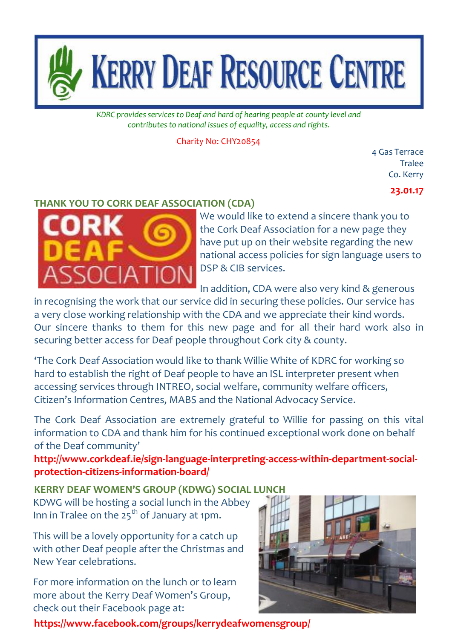

*KDRC provides services to Deaf and hard of hearing people at county level and contributes to national issues of equality, access and rights.*

Charity No: CHY20854

4 Gas Terrace Tralee Co. Kerry

### **23.01.17**

## **THANK YOU TO CORK DEAF ASSOCIATION (CDA)**



We would like to extend a sincere thank you to the Cork Deaf Association for a new page they have put up on their website regarding the new national access policies for sign language users to DSP & CIB services.

In addition, CDA were also very kind & generous

in recognising the work that our service did in securing these policies. Our service has a very close working relationship with the CDA and we appreciate their kind words. Our sincere thanks to them for this new page and for all their hard work also in securing better access for Deaf people throughout Cork city & county.

'The Cork Deaf Association would like to thank Willie White of KDRC for working so hard to establish the right of Deaf people to have an ISL interpreter present when accessing services through INTREO, social welfare, community welfare officers, Citizen's Information Centres, MABS and the National Advocacy Service.

The Cork Deaf Association are extremely grateful to Willie for passing on this vital information to CDA and thank him for his continued exceptional work done on behalf of the Deaf community'

**[http://www.corkdeaf.ie/sign-language-interpreting-access-within-department-social](http://www.corkdeaf.ie/sign-language-interpreting-access-within-department-social-protection-citizens-information-board/)[protection-citizens-information-board/](http://www.corkdeaf.ie/sign-language-interpreting-access-within-department-social-protection-citizens-information-board/)**

**KERRY DEAF WOMEN'S GROUP (KDWG) SOCIAL LUNCH** KDWG will be hosting a social lunch in the Abbey Inn in Tralee on the  $25<sup>th</sup>$  of January at 1pm.

This will be a lovely opportunity for a catch up with other Deaf people after the Christmas and New Year celebrations.

For more information on the lunch or to learn more about the Kerry Deaf Women's Group, check out their Facebook page at:



**<https://www.facebook.com/groups/kerrydeafwomensgroup/>**